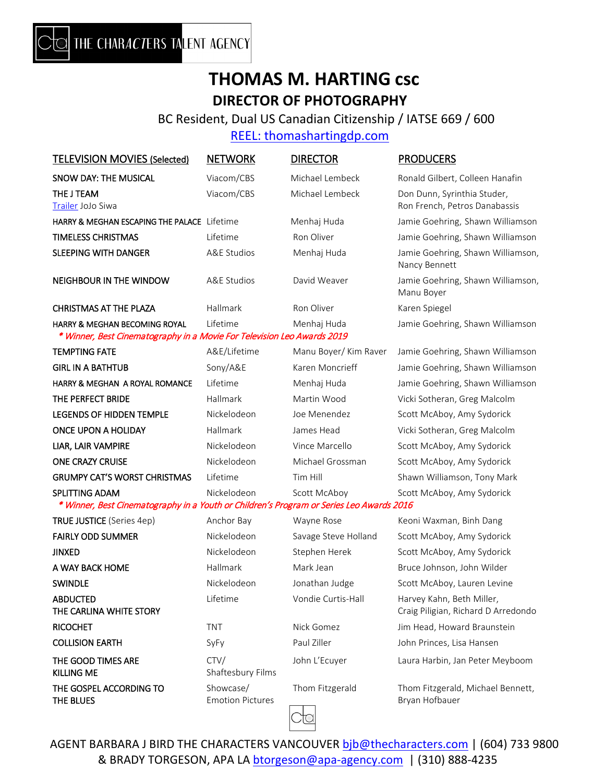## **THOMAS M. HARTING csc DIRECTOR OF PHOTOGRAPHY**

BC Resident, Dual US Canadian Citizenship / IATSE 669 / 600

## [REEL: thomashartingdp.com](http://www.thomashartingdp.com/)

| SNOW DAY: THE MUSICAL<br><b>THE J TEAM</b><br>Trailer JoJo Siwa                                                     | Viacom/CBS<br>Viacom/CBS             | Michael Lembeck<br>Michael Lembeck | Ronald Gilbert, Colleen Hanafin<br>Don Dunn, Syrinthia Studer,   |
|---------------------------------------------------------------------------------------------------------------------|--------------------------------------|------------------------------------|------------------------------------------------------------------|
|                                                                                                                     |                                      |                                    |                                                                  |
|                                                                                                                     |                                      |                                    | Ron French, Petros Danabassis                                    |
| HARRY & MEGHAN ESCAPING THE PALACE Lifetime                                                                         |                                      | Menhaj Huda                        | Jamie Goehring, Shawn Williamson                                 |
| <b>TIMELESS CHRISTMAS</b>                                                                                           | Lifetime                             | Ron Oliver                         | Jamie Goehring, Shawn Williamson                                 |
| <b>SLEEPING WITH DANGER</b>                                                                                         | <b>A&amp;E Studios</b>               | Menhaj Huda                        | Jamie Goehring, Shawn Williamson,<br>Nancy Bennett               |
| <b>NEIGHBOUR IN THE WINDOW</b>                                                                                      | <b>A&amp;E Studios</b>               | David Weaver                       | Jamie Goehring, Shawn Williamson,<br>Manu Boyer                  |
| <b>CHRISTMAS AT THE PLAZA</b>                                                                                       | Hallmark                             | Ron Oliver                         | Karen Spiegel                                                    |
| <b>HARRY &amp; MEGHAN BECOMING ROYAL</b><br>* Winner, Best Cinematography in a Movie For Television Leo Awards 2019 | Lifetime                             | Menhaj Huda                        | Jamie Goehring, Shawn Williamson                                 |
| <b>TEMPTING FATE</b>                                                                                                | A&E/Lifetime                         | Manu Boyer/ Kim Raver              | Jamie Goehring, Shawn Williamson                                 |
| <b>GIRL IN A BATHTUB</b>                                                                                            | Sony/A&E                             | Karen Moncrieff                    | Jamie Goehring, Shawn Williamson                                 |
| HARRY & MEGHAN A ROYAL ROMANCE                                                                                      | Lifetime                             | Menhaj Huda                        | Jamie Goehring, Shawn Williamson                                 |
| THE PERFECT BRIDE                                                                                                   | Hallmark                             | Martin Wood                        | Vicki Sotheran, Greg Malcolm                                     |
| <b>LEGENDS OF HIDDEN TEMPLE</b>                                                                                     | Nickelodeon                          | Joe Menendez                       | Scott McAboy, Amy Sydorick                                       |
| <b>ONCE UPON A HOLIDAY</b>                                                                                          | Hallmark                             | James Head                         | Vicki Sotheran, Greg Malcolm                                     |
| LIAR, LAIR VAMPIRE                                                                                                  | Nickelodeon                          | Vince Marcello                     | Scott McAboy, Amy Sydorick                                       |
| <b>ONE CRAZY CRUISE</b>                                                                                             | Nickelodeon                          | Michael Grossman                   | Scott McAboy, Amy Sydorick                                       |
| <b>GRUMPY CAT'S WORST CHRISTMAS</b>                                                                                 | Lifetime                             | Tim Hill                           | Shawn Williamson, Tony Mark                                      |
| <b>SPLITTING ADAM</b><br>* Winner, Best Cinematography in a Youth or Children's Program or Series Leo Awards 2016   | Nickelodeon                          | Scott McAboy                       | Scott McAboy, Amy Sydorick                                       |
| <b>TRUE JUSTICE</b> (Series 4ep)                                                                                    | Anchor Bay                           | Wayne Rose                         | Keoni Waxman, Binh Dang                                          |
| <b>FAIRLY ODD SUMMER</b>                                                                                            | Nickelodeon                          | Savage Steve Holland               | Scott McAboy, Amy Sydorick                                       |
| <b>JINXED</b>                                                                                                       | Nickelodeon                          | Stephen Herek                      | Scott McAboy, Amy Sydorick                                       |
| A WAY BACK HOME                                                                                                     | Hallmark                             | Mark Jean                          | Bruce Johnson, John Wilder                                       |
| <b>SWINDLE</b>                                                                                                      | Nickelodeon                          | Jonathan Judge                     | Scott McAboy, Lauren Levine                                      |
| <b>ABDUCTED</b><br>THE CARLINA WHITE STORY                                                                          | Lifetime                             | Vondie Curtis-Hall                 | Harvey Kahn, Beth Miller,<br>Craig Piligian, Richard D Arredondo |
| <b>RICOCHET</b>                                                                                                     | <b>TNT</b>                           | Nick Gomez                         | Jim Head, Howard Braunstein                                      |
| <b>COLLISION EARTH</b>                                                                                              | SyFy                                 | Paul Ziller                        | John Princes, Lisa Hansen                                        |
| THE GOOD TIMES ARE<br><b>KILLING ME</b>                                                                             | CTV/<br>Shaftesbury Films            | John L'Ecuyer                      | Laura Harbin, Jan Peter Meyboom                                  |
| THE GOSPEL ACCORDING TO<br>THE BLUES                                                                                | Showcase/<br><b>Emotion Pictures</b> | Thom Fitzgerald                    | Thom Fitzgerald, Michael Bennett,<br>Bryan Hofbauer              |

AGENT BARBARA J BIRD THE CHARACTERS VANCOUVER **bjb@thecharacters.com** | (604) 733 9800 & BRADY TORGESON, APA LA **[btorgeson@apa-agency.com](mailto:btorgeson@apa-agency.com)** | (310) 888-4235